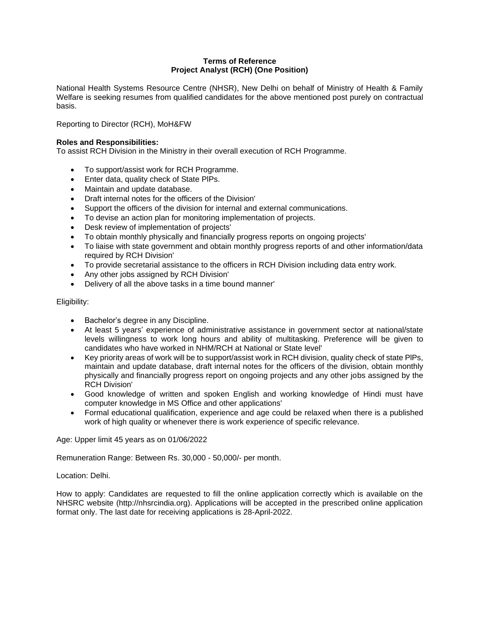## **Terms of Reference Project Analyst (RCH) (One Position)**

National Health Systems Resource Centre (NHSR), New Delhi on behalf of Ministry of Health & Family Welfare is seeking resumes from qualified candidates for the above mentioned post purely on contractual basis.

Reporting to Director (RCH), MoH&FW

# **Roles and Responsibilities:**

To assist RCH Division in the Ministry in their overall execution of RCH Programme.

- To support/assist work for RCH Programme.
- Enter data, quality check of State PlPs.
- Maintain and update database.
- Draft internal notes for the officers of the Division'
- Support the officers of the division for internal and external communications.
- To devise an action plan for monitoring implementation of projects.
- Desk review of implementation of projects'
- To obtain monthly physically and financially progress reports on ongoing projects'
- To liaise with state government and obtain monthly progress reports of and other information/data required by RCH Division'
- To provide secretarial assistance to the officers in RCH Division including data entry work.
- Any other jobs assigned by RCH Division'
- Delivery of all the above tasks in a time bound manner'

## Eligibility:

- Bachelor's degree in any Discipline.
- At least 5 years' experience of administrative assistance in government sector at national/state levels willingness to work long hours and ability of multitasking. Preference will be given to candidates who have worked in NHM/RCH at National or State level'
- Key priority areas of work will be to support/assist work in RCH division, quality check of state PlPs, maintain and update database, draft internal notes for the officers of the division, obtain monthly physically and financially progress report on ongoing projects and any other jobs assigned by the RCH Division'
- Good knowledge of written and spoken English and working knowledge of Hindi must have computer knowledge in MS Office and other applications'
- Formal educational qualification, experience and age could be relaxed when there is a published work of high quality or whenever there is work experience of specific relevance.

Age: Upper limit 45 years as on 01/06/2022

Remuneration Range: Between Rs. 30,000 - 50,000/- per month.

Location: Delhi.

How to apply: Candidates are requested to fill the online application correctly which is available on the NHSRC website (http://nhsrcindia.org). Applications will be accepted in the prescribed online application format only. The last date for receiving applications is 28-April-2022.